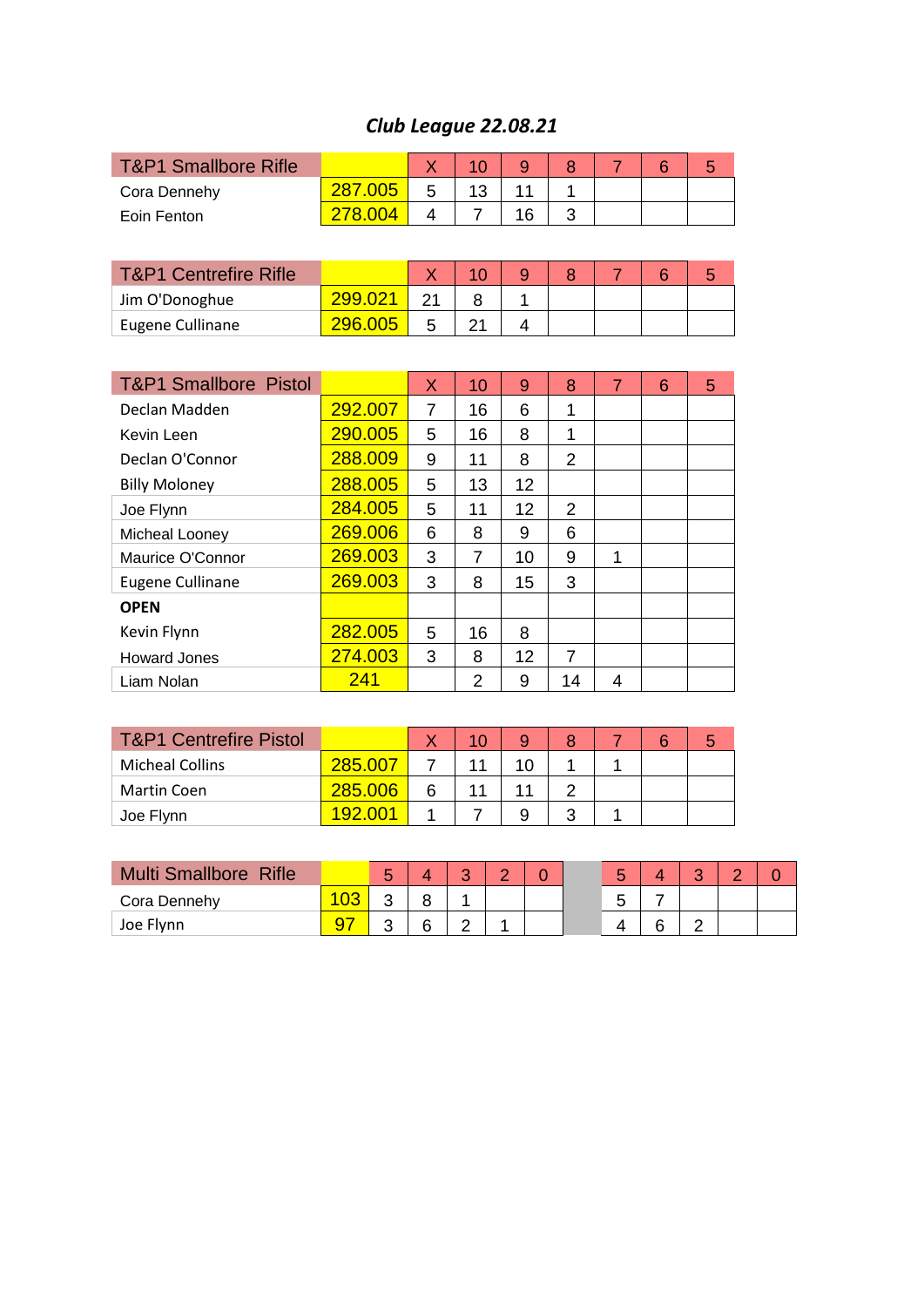## *Club League 22.08.21*

| <b>T&amp;P1 Smallbore Rifle</b>  |         |   | 10 | 9  | 8  |  |  |
|----------------------------------|---------|---|----|----|----|--|--|
| Cora Dennehy                     | 287.005 | 5 | 13 |    |    |  |  |
| Eoin Fenton                      | 78 OO4  |   |    | 16 | -2 |  |  |
|                                  |         |   |    |    |    |  |  |
| <b>T&amp;P1 Centrefire Rifle</b> |         |   |    |    |    |  |  |

| T&P E Centrelife Rille |  |  |  |  |
|------------------------|--|--|--|--|
| Jim O'Donoghue         |  |  |  |  |
| Eugene Cullinane       |  |  |  |  |
|                        |  |  |  |  |

| <b>T&amp;P1 Smallbore Pistol</b> |         | X | 10 | 9  | 8  |   | 6 | 5 |
|----------------------------------|---------|---|----|----|----|---|---|---|
| Declan Madden                    | 292.007 | 7 | 16 | 6  | 1  |   |   |   |
| Kevin Leen                       | 290.005 | 5 | 16 | 8  | 1  |   |   |   |
| Declan O'Connor                  | 288.009 | 9 | 11 | 8  | 2  |   |   |   |
| <b>Billy Moloney</b>             | 288.005 | 5 | 13 | 12 |    |   |   |   |
| Joe Flynn                        | 284.005 | 5 | 11 | 12 | 2  |   |   |   |
| Micheal Looney                   | 269.006 | 6 | 8  | 9  | 6  |   |   |   |
| Maurice O'Connor                 | 269.003 | 3 | 7  | 10 | 9  | 1 |   |   |
| Eugene Cullinane                 | 269.003 | 3 | 8  | 15 | 3  |   |   |   |
| <b>OPEN</b>                      |         |   |    |    |    |   |   |   |
| Kevin Flynn                      | 282.005 | 5 | 16 | 8  |    |   |   |   |
| <b>Howard Jones</b>              | 274.003 | 3 | 8  | 12 | 7  |   |   |   |
| Liam Nolan                       | 241     |   | 2  | 9  | 14 | 4 |   |   |

| <b>T&amp;P1 Centrefire Pistol</b> |                |   |  |   |  |  |
|-----------------------------------|----------------|---|--|---|--|--|
| <b>Micheal Collins</b>            | 285.007        |   |  |   |  |  |
| Martin Coen                       | 285.006        | հ |  |   |  |  |
| Joe Flynn                         | <b>192.001</b> |   |  | ⌒ |  |  |

| <b>Multi Smallbore Rifle</b> |    | ື |   | ◠ |  |  | ◠ |  |
|------------------------------|----|---|---|---|--|--|---|--|
| Cora Dennehy                 | vc | ີ |   |   |  |  |   |  |
| Joe Flynn                    |    | ັ | 6 |   |  |  |   |  |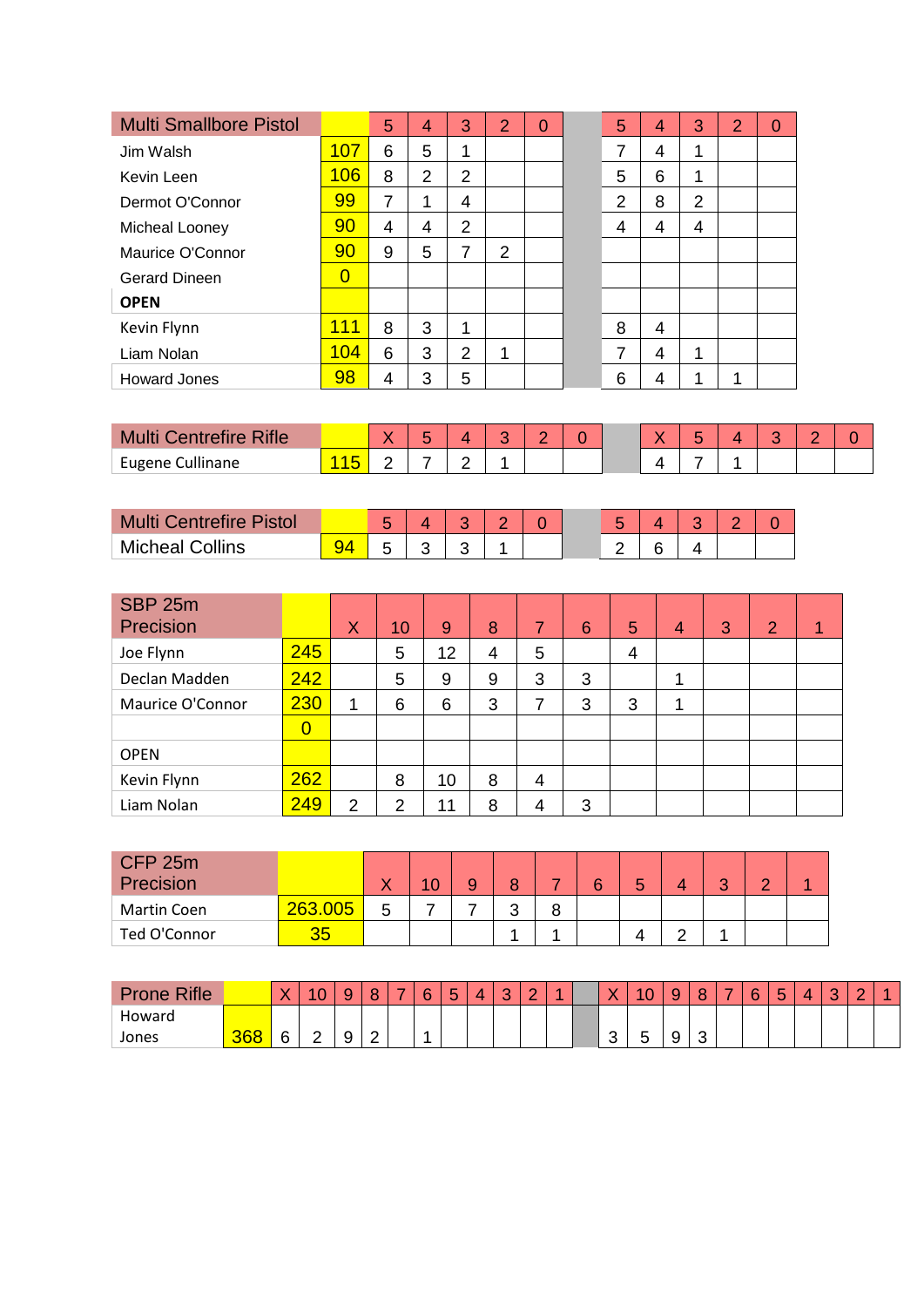| <b>Multi Smallbore Pistol</b> |                | 5 | 4              | 3              | $\overline{2}$ | $\Omega$ | 5              | 4              | 3 | $\overline{2}$ | $\overline{0}$ |  |
|-------------------------------|----------------|---|----------------|----------------|----------------|----------|----------------|----------------|---|----------------|----------------|--|
| Jim Walsh                     | 107            | 6 | 5              | 1              |                |          | 7              | 4              | 1 |                |                |  |
| Kevin Leen                    | 106            | 8 | $\overline{2}$ | $\overline{2}$ |                |          | 5              | 6              | 1 |                |                |  |
| Dermot O'Connor               | 99             | 7 |                | 4              |                |          | $\overline{2}$ | 8              | 2 |                |                |  |
| Micheal Looney                | 90             | 4 | 4              | $\overline{2}$ |                |          | 4              | 4              | 4 |                |                |  |
| Maurice O'Connor              | 90             | 9 | 5              | 7              | $\overline{2}$ |          |                |                |   |                |                |  |
| <b>Gerard Dineen</b>          | $\overline{0}$ |   |                |                |                |          |                |                |   |                |                |  |
| <b>OPEN</b>                   |                |   |                |                |                |          |                |                |   |                |                |  |
| Kevin Flynn                   | 111            | 8 | 3              | 4              |                |          | 8              | $\overline{4}$ |   |                |                |  |
| Liam Nolan                    | 104            | 6 | 3              | $\overline{2}$ |                |          | 7              | 4              | 1 |                |                |  |
| <b>Howard Jones</b>           | 98             | 4 | 3              | 5              |                |          | 6              | 4              | и | 1              |                |  |

| <b>Intrefire Rifle</b><br><b>Multi</b> |  | - | Æ      |  |  |  |  |  |
|----------------------------------------|--|---|--------|--|--|--|--|--|
| Eugene Cullinane                       |  |   | -<br>- |  |  |  |  |  |

| <b>Centrefire Pistol</b><br><b>Multi</b> |  |  |  |  |  |  |
|------------------------------------------|--|--|--|--|--|--|
| <b>Micheal Collins</b>                   |  |  |  |  |  |  |

| SBP 25m<br>Precision |                | X              | 10 | 9  | 8 | 7 | 6 | 5 | $\overline{4}$ | 3 | 2 | 1 |
|----------------------|----------------|----------------|----|----|---|---|---|---|----------------|---|---|---|
| Joe Flynn            | 245            |                | 5  | 12 | 4 | 5 |   | 4 |                |   |   |   |
| Declan Madden        | 242            |                | 5  | 9  | 9 | 3 | 3 |   | ٠              |   |   |   |
| Maurice O'Connor     | 230            | 1              | 6  | 6  | 3 | 7 | 3 | 3 | 1              |   |   |   |
|                      | $\overline{0}$ |                |    |    |   |   |   |   |                |   |   |   |
| <b>OPEN</b>          |                |                |    |    |   |   |   |   |                |   |   |   |
| Kevin Flynn          | 262            |                | 8  | 10 | 8 | 4 |   |   |                |   |   |   |
| Liam Nolan           | 249            | $\overline{2}$ | າ  | 11 | 8 | 4 | 3 |   |                |   |   |   |

| CFP 25m<br>Precision |         | v | <b>START</b><br>υ |   |        | ◠ |  | ◠ |  |
|----------------------|---------|---|-------------------|---|--------|---|--|---|--|
| Martin Coen          | 263.005 | 5 |                   | c | ິ<br>О |   |  |   |  |
| Ted O'Connor         |         |   |                   |   |        |   |  |   |  |

| <b>Rifle</b><br>Prone |     | 丷<br>. . | $\sim$<br>$\sim$ | $\sim$<br>◡<br>v | $\circ$         | - | <b>G</b> | 片<br>$\tilde{\phantom{a}}$ | ∼ | $\sim$<br>w | $\sim$ | × |     | $\sim$<br>. . | w | ົ           | $\overline{\phantom{a}}$ | $\sim$ | - | $\sim$ | $\sim$ |  |
|-----------------------|-----|----------|------------------|------------------|-----------------|---|----------|----------------------------|---|-------------|--------|---|-----|---------------|---|-------------|--------------------------|--------|---|--------|--------|--|
| Howard                |     |          |                  |                  |                 |   |          |                            |   |             |        |   |     |               |   |             |                          |        |   |        |        |  |
| Jones                 | 368 | G<br>ີ   | c                | $\sim$<br>◡<br>◡ | $\sqrt{2}$<br>∼ |   |          |                            |   |             |        |   | . . | -<br>-<br>ີ   |   | $\sim$<br>ີ |                          |        |   |        |        |  |